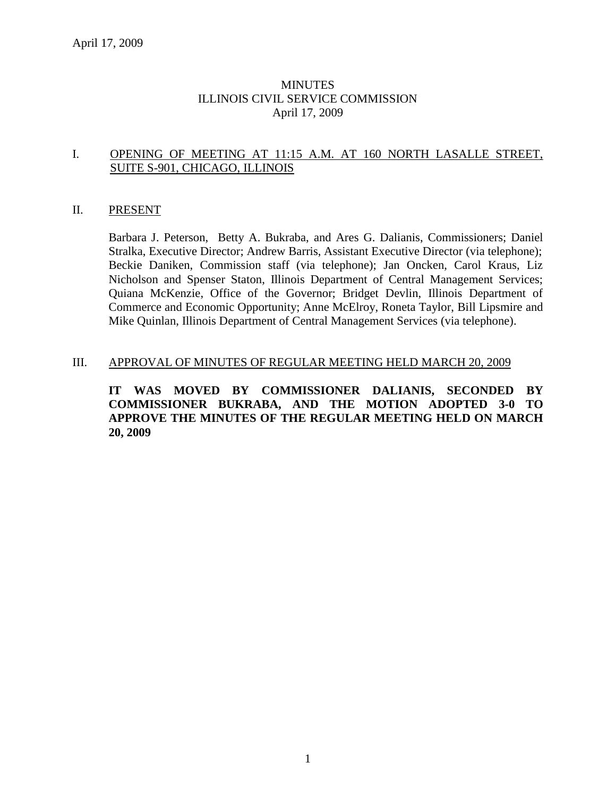### MINUTES ILLINOIS CIVIL SERVICE COMMISSION April 17, 2009

#### I. OPENING OF MEETING AT 11:15 A.M. AT 160 NORTH LASALLE STREET, SUITE S-901, CHICAGO, ILLINOIS

#### II. PRESENT

Barbara J. Peterson, Betty A. Bukraba, and Ares G. Dalianis, Commissioners; Daniel Stralka, Executive Director; Andrew Barris, Assistant Executive Director (via telephone); Beckie Daniken, Commission staff (via telephone); Jan Oncken, Carol Kraus, Liz Nicholson and Spenser Staton, Illinois Department of Central Management Services; Quiana McKenzie, Office of the Governor; Bridget Devlin, Illinois Department of Commerce and Economic Opportunity; Anne McElroy, Roneta Taylor, Bill Lipsmire and Mike Quinlan, Illinois Department of Central Management Services (via telephone).

#### III. APPROVAL OF MINUTES OF REGULAR MEETING HELD MARCH 20, 2009

**IT WAS MOVED BY COMMISSIONER DALIANIS, SECONDED BY COMMISSIONER BUKRABA, AND THE MOTION ADOPTED 3-0 TO APPROVE THE MINUTES OF THE REGULAR MEETING HELD ON MARCH 20, 2009**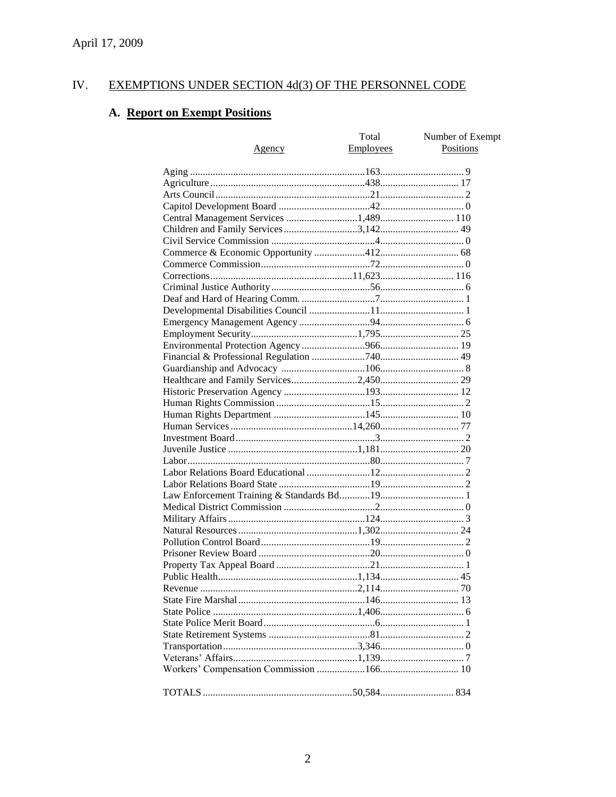#### EXEMPTIONS UNDER SECTION 4d(3) OF THE PERSONNEL CODE IV.

# A. Report on Exempt Positions

| <u>Agency</u>                         | Total<br>Employees | Number of Exempt<br>Positions |
|---------------------------------------|--------------------|-------------------------------|
|                                       |                    |                               |
|                                       |                    |                               |
|                                       |                    |                               |
|                                       |                    |                               |
| Central Management Services 1,489 110 |                    |                               |
| Children and Family Services 3,142 49 |                    |                               |
|                                       |                    |                               |
|                                       |                    |                               |
|                                       |                    |                               |
|                                       |                    |                               |
|                                       |                    |                               |
|                                       |                    |                               |
|                                       |                    |                               |
|                                       |                    |                               |
|                                       |                    |                               |
|                                       |                    |                               |
|                                       |                    |                               |
|                                       |                    |                               |
|                                       |                    |                               |
|                                       |                    |                               |
|                                       |                    |                               |
|                                       |                    |                               |
|                                       |                    |                               |
|                                       |                    |                               |
|                                       |                    |                               |
|                                       |                    |                               |
|                                       |                    |                               |
|                                       |                    |                               |
|                                       |                    |                               |
|                                       |                    |                               |
|                                       |                    |                               |
|                                       |                    |                               |
|                                       |                    |                               |
|                                       |                    |                               |
|                                       |                    |                               |
|                                       |                    |                               |
|                                       |                    |                               |
|                                       |                    |                               |
|                                       |                    |                               |
|                                       |                    |                               |
|                                       |                    |                               |
|                                       |                    |                               |
|                                       |                    |                               |
|                                       |                    |                               |
|                                       |                    |                               |
|                                       |                    |                               |
|                                       |                    |                               |
|                                       |                    |                               |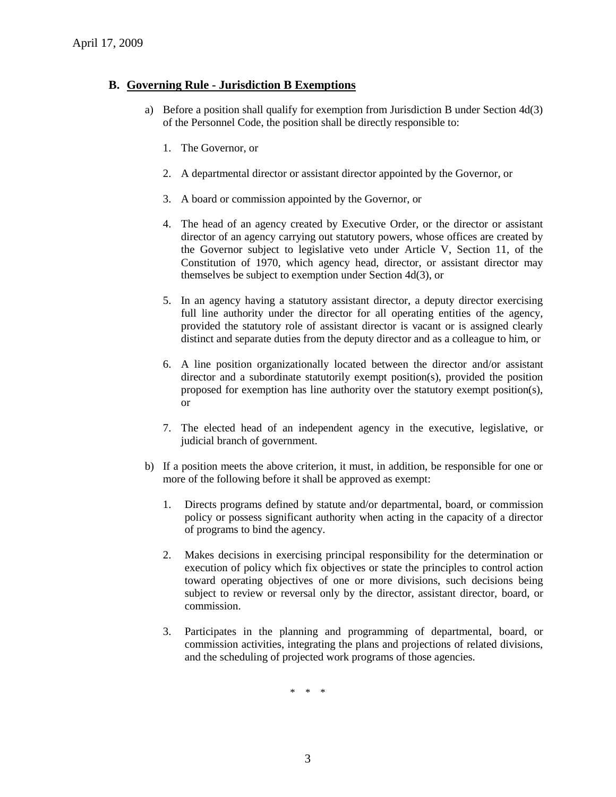### **B. Governing Rule - Jurisdiction B Exemptions**

- a) Before a position shall qualify for exemption from Jurisdiction B under Section 4d(3) of the Personnel Code, the position shall be directly responsible to:
	- 1. The Governor, or
	- 2. A departmental director or assistant director appointed by the Governor, or
	- 3. A board or commission appointed by the Governor, or
	- 4. The head of an agency created by Executive Order, or the director or assistant director of an agency carrying out statutory powers, whose offices are created by the Governor subject to legislative veto under Article V, Section 11, of the Constitution of 1970, which agency head, director, or assistant director may themselves be subject to exemption under Section 4d(3), or
	- 5. In an agency having a statutory assistant director, a deputy director exercising full line authority under the director for all operating entities of the agency, provided the statutory role of assistant director is vacant or is assigned clearly distinct and separate duties from the deputy director and as a colleague to him, or
	- 6. A line position organizationally located between the director and/or assistant director and a subordinate statutorily exempt position(s), provided the position proposed for exemption has line authority over the statutory exempt position(s), or
	- 7. The elected head of an independent agency in the executive, legislative, or judicial branch of government.
- b) If a position meets the above criterion, it must, in addition, be responsible for one or more of the following before it shall be approved as exempt:
	- 1. Directs programs defined by statute and/or departmental, board, or commission policy or possess significant authority when acting in the capacity of a director of programs to bind the agency.
	- 2. Makes decisions in exercising principal responsibility for the determination or execution of policy which fix objectives or state the principles to control action toward operating objectives of one or more divisions, such decisions being subject to review or reversal only by the director, assistant director, board, or commission.
	- 3. Participates in the planning and programming of departmental, board, or commission activities, integrating the plans and projections of related divisions, and the scheduling of projected work programs of those agencies.

\* \* \*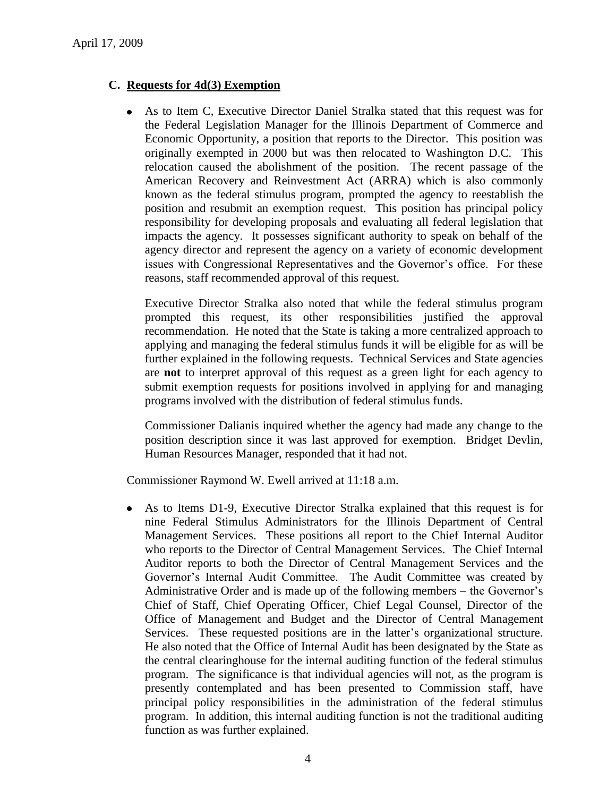## **C. Requests for 4d(3) Exemption**

As to Item C, Executive Director Daniel Stralka stated that this request was for the Federal Legislation Manager for the Illinois Department of Commerce and Economic Opportunity, a position that reports to the Director. This position was originally exempted in 2000 but was then relocated to Washington D.C. This relocation caused the abolishment of the position. The recent passage of the American Recovery and Reinvestment Act (ARRA) which is also commonly known as the federal stimulus program, prompted the agency to reestablish the position and resubmit an exemption request. This position has principal policy responsibility for developing proposals and evaluating all federal legislation that impacts the agency. It possesses significant authority to speak on behalf of the agency director and represent the agency on a variety of economic development issues with Congressional Representatives and the Governor's office. For these reasons, staff recommended approval of this request.

Executive Director Stralka also noted that while the federal stimulus program prompted this request, its other responsibilities justified the approval recommendation. He noted that the State is taking a more centralized approach to applying and managing the federal stimulus funds it will be eligible for as will be further explained in the following requests. Technical Services and State agencies are **not** to interpret approval of this request as a green light for each agency to submit exemption requests for positions involved in applying for and managing programs involved with the distribution of federal stimulus funds.

Commissioner Dalianis inquired whether the agency had made any change to the position description since it was last approved for exemption. Bridget Devlin, Human Resources Manager, responded that it had not.

Commissioner Raymond W. Ewell arrived at 11:18 a.m.

 $\bullet$ As to Items D1-9, Executive Director Stralka explained that this request is for nine Federal Stimulus Administrators for the Illinois Department of Central Management Services. These positions all report to the Chief Internal Auditor who reports to the Director of Central Management Services. The Chief Internal Auditor reports to both the Director of Central Management Services and the Governor's Internal Audit Committee. The Audit Committee was created by Administrative Order and is made up of the following members – the Governor's Chief of Staff, Chief Operating Officer, Chief Legal Counsel, Director of the Office of Management and Budget and the Director of Central Management Services. These requested positions are in the latter's organizational structure. He also noted that the Office of Internal Audit has been designated by the State as the central clearinghouse for the internal auditing function of the federal stimulus program. The significance is that individual agencies will not, as the program is presently contemplated and has been presented to Commission staff, have principal policy responsibilities in the administration of the federal stimulus program. In addition, this internal auditing function is not the traditional auditing function as was further explained.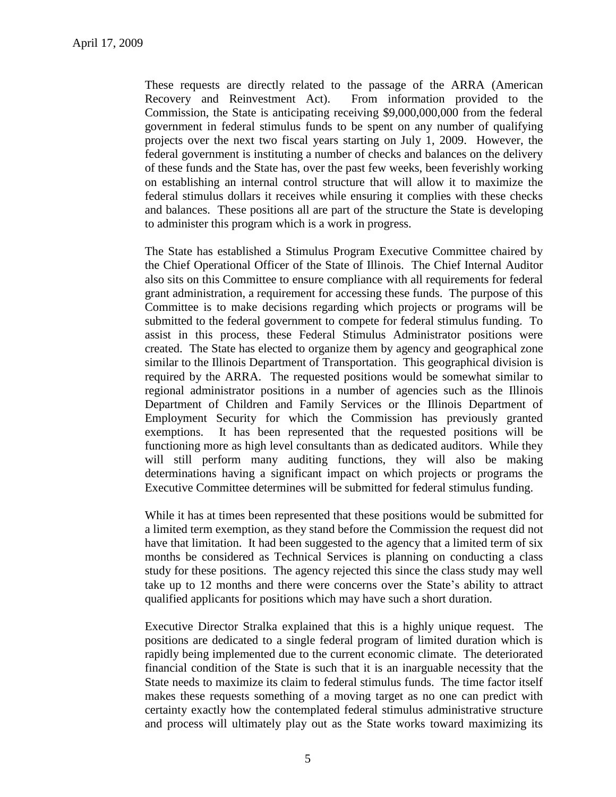These requests are directly related to the passage of the ARRA (American Recovery and Reinvestment Act). From information provided to the Commission, the State is anticipating receiving \$9,000,000,000 from the federal government in federal stimulus funds to be spent on any number of qualifying projects over the next two fiscal years starting on July 1, 2009. However, the federal government is instituting a number of checks and balances on the delivery of these funds and the State has, over the past few weeks, been feverishly working on establishing an internal control structure that will allow it to maximize the federal stimulus dollars it receives while ensuring it complies with these checks and balances. These positions all are part of the structure the State is developing to administer this program which is a work in progress.

The State has established a Stimulus Program Executive Committee chaired by the Chief Operational Officer of the State of Illinois. The Chief Internal Auditor also sits on this Committee to ensure compliance with all requirements for federal grant administration, a requirement for accessing these funds. The purpose of this Committee is to make decisions regarding which projects or programs will be submitted to the federal government to compete for federal stimulus funding. To assist in this process, these Federal Stimulus Administrator positions were created. The State has elected to organize them by agency and geographical zone similar to the Illinois Department of Transportation. This geographical division is required by the ARRA. The requested positions would be somewhat similar to regional administrator positions in a number of agencies such as the Illinois Department of Children and Family Services or the Illinois Department of Employment Security for which the Commission has previously granted exemptions. It has been represented that the requested positions will be functioning more as high level consultants than as dedicated auditors. While they will still perform many auditing functions, they will also be making determinations having a significant impact on which projects or programs the Executive Committee determines will be submitted for federal stimulus funding.

While it has at times been represented that these positions would be submitted for a limited term exemption, as they stand before the Commission the request did not have that limitation. It had been suggested to the agency that a limited term of six months be considered as Technical Services is planning on conducting a class study for these positions. The agency rejected this since the class study may well take up to 12 months and there were concerns over the State's ability to attract qualified applicants for positions which may have such a short duration.

Executive Director Stralka explained that this is a highly unique request. The positions are dedicated to a single federal program of limited duration which is rapidly being implemented due to the current economic climate. The deteriorated financial condition of the State is such that it is an inarguable necessity that the State needs to maximize its claim to federal stimulus funds. The time factor itself makes these requests something of a moving target as no one can predict with certainty exactly how the contemplated federal stimulus administrative structure and process will ultimately play out as the State works toward maximizing its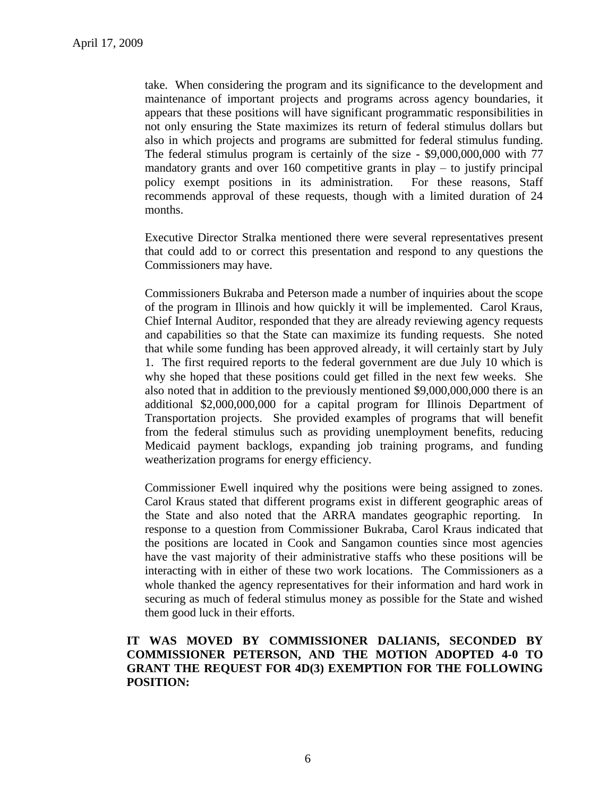take. When considering the program and its significance to the development and maintenance of important projects and programs across agency boundaries, it appears that these positions will have significant programmatic responsibilities in not only ensuring the State maximizes its return of federal stimulus dollars but also in which projects and programs are submitted for federal stimulus funding. The federal stimulus program is certainly of the size - \$9,000,000,000 with 77 mandatory grants and over 160 competitive grants in play  $-$  to justify principal policy exempt positions in its administration. For these reasons, Staff recommends approval of these requests, though with a limited duration of 24 months.

Executive Director Stralka mentioned there were several representatives present that could add to or correct this presentation and respond to any questions the Commissioners may have.

Commissioners Bukraba and Peterson made a number of inquiries about the scope of the program in Illinois and how quickly it will be implemented. Carol Kraus, Chief Internal Auditor, responded that they are already reviewing agency requests and capabilities so that the State can maximize its funding requests. She noted that while some funding has been approved already, it will certainly start by July 1. The first required reports to the federal government are due July 10 which is why she hoped that these positions could get filled in the next few weeks. She also noted that in addition to the previously mentioned \$9,000,000,000 there is an additional \$2,000,000,000 for a capital program for Illinois Department of Transportation projects. She provided examples of programs that will benefit from the federal stimulus such as providing unemployment benefits, reducing Medicaid payment backlogs, expanding job training programs, and funding weatherization programs for energy efficiency.

Commissioner Ewell inquired why the positions were being assigned to zones. Carol Kraus stated that different programs exist in different geographic areas of the State and also noted that the ARRA mandates geographic reporting. response to a question from Commissioner Bukraba, Carol Kraus indicated that the positions are located in Cook and Sangamon counties since most agencies have the vast majority of their administrative staffs who these positions will be interacting with in either of these two work locations. The Commissioners as a whole thanked the agency representatives for their information and hard work in securing as much of federal stimulus money as possible for the State and wished them good luck in their efforts.

### **IT WAS MOVED BY COMMISSIONER DALIANIS, SECONDED BY COMMISSIONER PETERSON, AND THE MOTION ADOPTED 4-0 TO GRANT THE REQUEST FOR 4D(3) EXEMPTION FOR THE FOLLOWING POSITION:**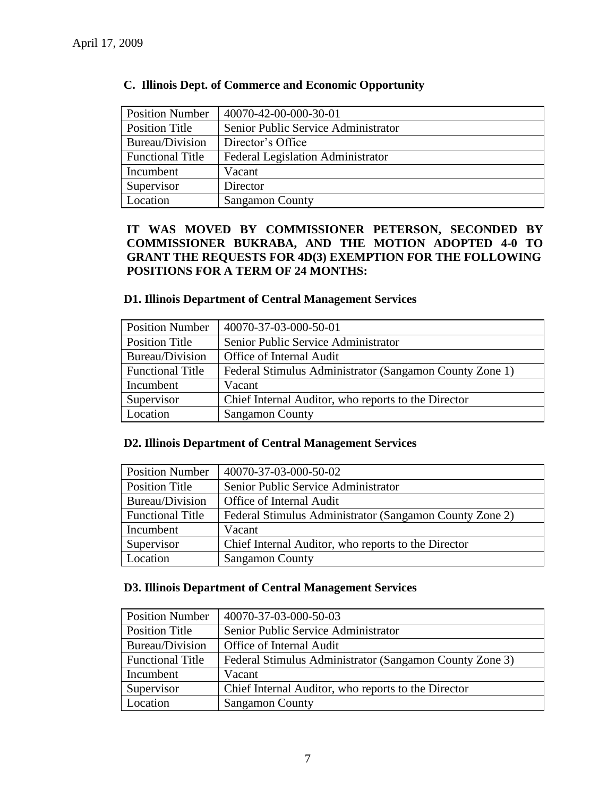| <b>Position Number</b>  | 40070-42-00-000-30-01                    |
|-------------------------|------------------------------------------|
| Position Title          | Senior Public Service Administrator      |
| Bureau/Division         | Director's Office                        |
| <b>Functional Title</b> | <b>Federal Legislation Administrator</b> |
| Incumbent               | Vacant                                   |
| Supervisor              | Director                                 |
| Location                | <b>Sangamon County</b>                   |

## **C. Illinois Dept. of Commerce and Economic Opportunity**

### **IT WAS MOVED BY COMMISSIONER PETERSON, SECONDED BY COMMISSIONER BUKRABA, AND THE MOTION ADOPTED 4-0 TO GRANT THE REQUESTS FOR 4D(3) EXEMPTION FOR THE FOLLOWING POSITIONS FOR A TERM OF 24 MONTHS:**

### **D1. Illinois Department of Central Management Services**

| <b>Position Number</b>  | 40070-37-03-000-50-01                                   |
|-------------------------|---------------------------------------------------------|
| <b>Position Title</b>   | Senior Public Service Administrator                     |
| Bureau/Division         | Office of Internal Audit                                |
| <b>Functional Title</b> | Federal Stimulus Administrator (Sangamon County Zone 1) |
| Incumbent               | Vacant                                                  |
| Supervisor              | Chief Internal Auditor, who reports to the Director     |
| Location                | <b>Sangamon County</b>                                  |

### **D2. Illinois Department of Central Management Services**

| <b>Position Number</b>  | 40070-37-03-000-50-02                                   |
|-------------------------|---------------------------------------------------------|
| Position Title          | Senior Public Service Administrator                     |
| Bureau/Division         | Office of Internal Audit                                |
| <b>Functional Title</b> | Federal Stimulus Administrator (Sangamon County Zone 2) |
| Incumbent               | Vacant                                                  |
| Supervisor              | Chief Internal Auditor, who reports to the Director     |
| Location                | <b>Sangamon County</b>                                  |

### **D3. Illinois Department of Central Management Services**

| <b>Position Number</b>  | 40070-37-03-000-50-03                                   |
|-------------------------|---------------------------------------------------------|
| Position Title          | Senior Public Service Administrator                     |
| Bureau/Division         | <b>Office of Internal Audit</b>                         |
| <b>Functional Title</b> | Federal Stimulus Administrator (Sangamon County Zone 3) |
| Incumbent               | Vacant                                                  |
| Supervisor              | Chief Internal Auditor, who reports to the Director     |
| Location                | <b>Sangamon County</b>                                  |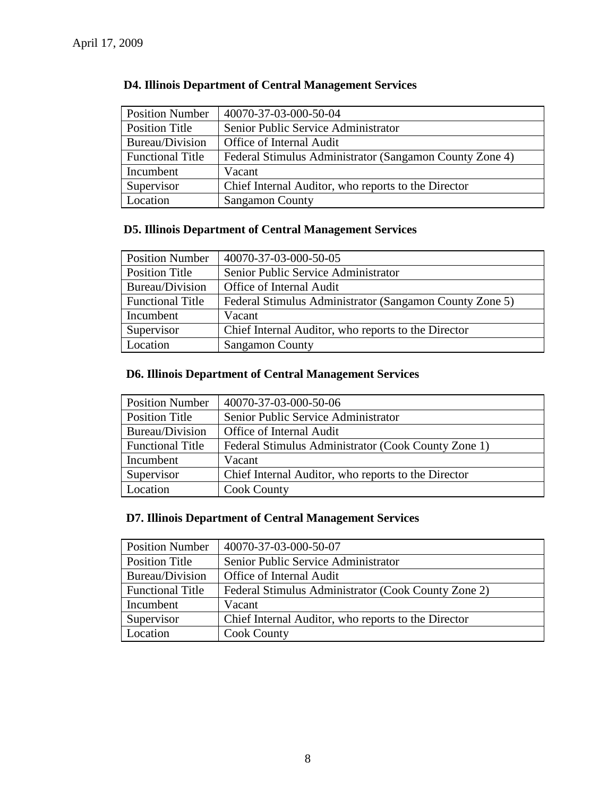| <b>Position Number</b>  | 40070-37-03-000-50-04                                   |
|-------------------------|---------------------------------------------------------|
| <b>Position Title</b>   | Senior Public Service Administrator                     |
| Bureau/Division         | Office of Internal Audit                                |
| <b>Functional Title</b> | Federal Stimulus Administrator (Sangamon County Zone 4) |
| Incumbent               | Vacant                                                  |
| Supervisor              | Chief Internal Auditor, who reports to the Director     |
| Location                | <b>Sangamon County</b>                                  |

# **D4. Illinois Department of Central Management Services**

# **D5. Illinois Department of Central Management Services**

| <b>Position Number</b>  | 40070-37-03-000-50-05                                   |
|-------------------------|---------------------------------------------------------|
| Position Title          | Senior Public Service Administrator                     |
| Bureau/Division         | Office of Internal Audit                                |
| <b>Functional Title</b> | Federal Stimulus Administrator (Sangamon County Zone 5) |
| Incumbent               | Vacant                                                  |
| Supervisor              | Chief Internal Auditor, who reports to the Director     |
| Location                | <b>Sangamon County</b>                                  |

# **D6. Illinois Department of Central Management Services**

| <b>Position Number</b>  | 40070-37-03-000-50-06                               |
|-------------------------|-----------------------------------------------------|
| <b>Position Title</b>   | Senior Public Service Administrator                 |
| Bureau/Division         | Office of Internal Audit                            |
| <b>Functional Title</b> | Federal Stimulus Administrator (Cook County Zone 1) |
| Incumbent               | Vacant                                              |
| Supervisor              | Chief Internal Auditor, who reports to the Director |
| Location                | <b>Cook County</b>                                  |

### **D7. Illinois Department of Central Management Services**

| <b>Position Number</b>  | 40070-37-03-000-50-07                               |
|-------------------------|-----------------------------------------------------|
| Position Title          | Senior Public Service Administrator                 |
| Bureau/Division         | Office of Internal Audit                            |
| <b>Functional Title</b> | Federal Stimulus Administrator (Cook County Zone 2) |
| Incumbent               | Vacant                                              |
| Supervisor              | Chief Internal Auditor, who reports to the Director |
| Location                | <b>Cook County</b>                                  |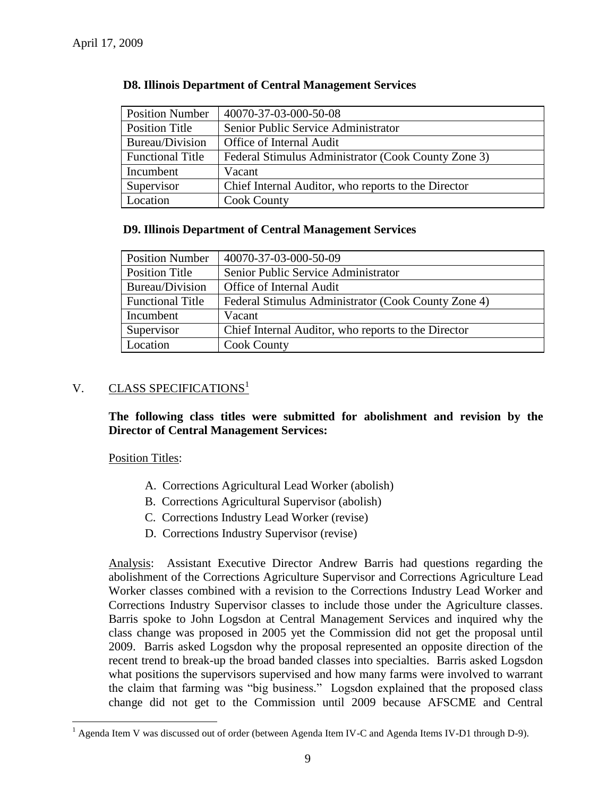| <b>Position Number</b>  | 40070-37-03-000-50-08                               |
|-------------------------|-----------------------------------------------------|
| Position Title          | Senior Public Service Administrator                 |
| Bureau/Division         | Office of Internal Audit                            |
| <b>Functional Title</b> | Federal Stimulus Administrator (Cook County Zone 3) |
| Incumbent               | Vacant                                              |
| Supervisor              | Chief Internal Auditor, who reports to the Director |
| Location                | <b>Cook County</b>                                  |

### **D8. Illinois Department of Central Management Services**

### **D9. Illinois Department of Central Management Services**

| <b>Position Number</b>  | 40070-37-03-000-50-09                               |
|-------------------------|-----------------------------------------------------|
| Position Title          | Senior Public Service Administrator                 |
| Bureau/Division         | Office of Internal Audit                            |
| <b>Functional Title</b> | Federal Stimulus Administrator (Cook County Zone 4) |
| Incumbent               | Vacant                                              |
| Supervisor              | Chief Internal Auditor, who reports to the Director |
| Location                | <b>Cook County</b>                                  |

### V. CLASS SPECIFICATIONS<sup>1</sup>

**The following class titles were submitted for abolishment and revision by the Director of Central Management Services:**

Position Titles:

 $\overline{a}$ 

- A. Corrections Agricultural Lead Worker (abolish)
- B. Corrections Agricultural Supervisor (abolish)
- C. Corrections Industry Lead Worker (revise)
- D. Corrections Industry Supervisor (revise)

Analysis: Assistant Executive Director Andrew Barris had questions regarding the abolishment of the Corrections Agriculture Supervisor and Corrections Agriculture Lead Worker classes combined with a revision to the Corrections Industry Lead Worker and Corrections Industry Supervisor classes to include those under the Agriculture classes. Barris spoke to John Logsdon at Central Management Services and inquired why the class change was proposed in 2005 yet the Commission did not get the proposal until 2009. Barris asked Logsdon why the proposal represented an opposite direction of the recent trend to break-up the broad banded classes into specialties. Barris asked Logsdon what positions the supervisors supervised and how many farms were involved to warrant the claim that farming was "big business." Logsdon explained that the proposed class change did not get to the Commission until 2009 because AFSCME and Central

 $1$  Agenda Item V was discussed out of order (between Agenda Item IV-C and Agenda Items IV-D1 through D-9).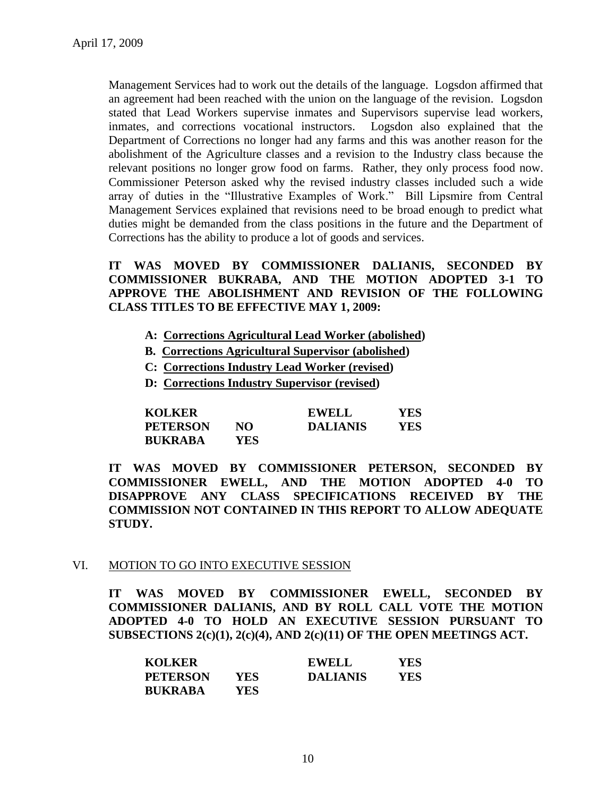Management Services had to work out the details of the language. Logsdon affirmed that an agreement had been reached with the union on the language of the revision. Logsdon stated that Lead Workers supervise inmates and Supervisors supervise lead workers, inmates, and corrections vocational instructors. Logsdon also explained that the Department of Corrections no longer had any farms and this was another reason for the abolishment of the Agriculture classes and a revision to the Industry class because the relevant positions no longer grow food on farms. Rather, they only process food now. Commissioner Peterson asked why the revised industry classes included such a wide array of duties in the "Illustrative Examples of Work." Bill Lipsmire from Central Management Services explained that revisions need to be broad enough to predict what duties might be demanded from the class positions in the future and the Department of Corrections has the ability to produce a lot of goods and services.

**IT WAS MOVED BY COMMISSIONER DALIANIS, SECONDED BY COMMISSIONER BUKRABA, AND THE MOTION ADOPTED 3-1 TO APPROVE THE ABOLISHMENT AND REVISION OF THE FOLLOWING CLASS TITLES TO BE EFFECTIVE MAY 1, 2009:**

- **A: Corrections Agricultural Lead Worker (abolished)**
- **B. Corrections Agricultural Supervisor (abolished)**
- **C: Corrections Industry Lead Worker (revised)**
- **D: Corrections Industry Supervisor (revised)**

| <b>KOLKER</b>   |            | <b>EWELL</b>    | YES. |
|-----------------|------------|-----------------|------|
| <b>PETERSON</b> | NO         | <b>DALIANIS</b> | YES  |
| <b>BUKRABA</b>  | <b>YES</b> |                 |      |

**IT WAS MOVED BY COMMISSIONER PETERSON, SECONDED BY COMMISSIONER EWELL, AND THE MOTION ADOPTED 4-0 TO DISAPPROVE ANY CLASS SPECIFICATIONS RECEIVED BY THE COMMISSION NOT CONTAINED IN THIS REPORT TO ALLOW ADEQUATE STUDY.** 

#### VI. MOTION TO GO INTO EXECUTIVE SESSION

**IT WAS MOVED BY COMMISSIONER EWELL, SECONDED BY COMMISSIONER DALIANIS, AND BY ROLL CALL VOTE THE MOTION ADOPTED 4-0 TO HOLD AN EXECUTIVE SESSION PURSUANT TO SUBSECTIONS 2(c)(1), 2(c)(4), AND 2(c)(11) OF THE OPEN MEETINGS ACT.** 

| <b>KOLKER</b>   |      | <b>EWELL</b>    | YES  |
|-----------------|------|-----------------|------|
| <b>PETERSON</b> | YES. | <b>DALIANIS</b> | YES. |
| <b>BUKRABA</b>  | YES. |                 |      |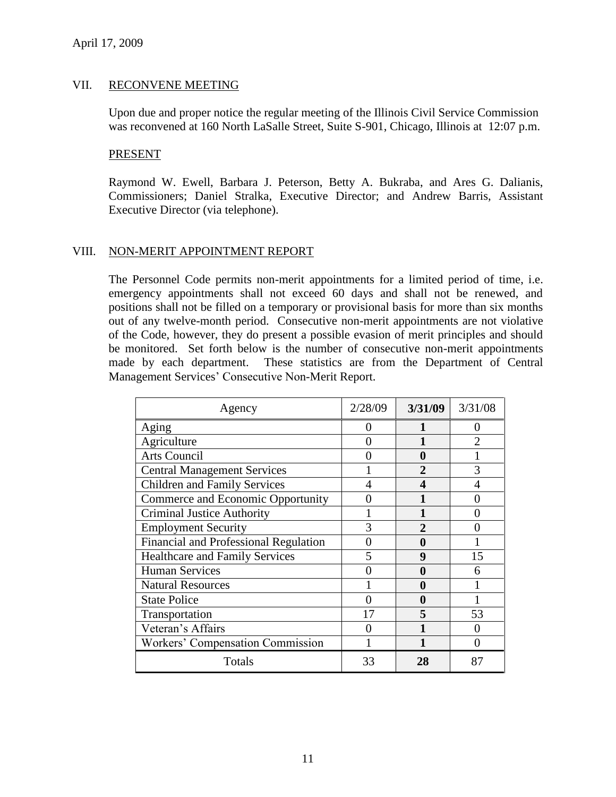### VII. RECONVENE MEETING

Upon due and proper notice the regular meeting of the Illinois Civil Service Commission was reconvened at 160 North LaSalle Street, Suite S-901, Chicago, Illinois at 12:07 p.m.

#### PRESENT

Raymond W. Ewell, Barbara J. Peterson, Betty A. Bukraba, and Ares G. Dalianis, Commissioners; Daniel Stralka, Executive Director; and Andrew Barris, Assistant Executive Director (via telephone).

### VIII. NON-MERIT APPOINTMENT REPORT

The Personnel Code permits non-merit appointments for a limited period of time, i.e. emergency appointments shall not exceed 60 days and shall not be renewed, and positions shall not be filled on a temporary or provisional basis for more than six months out of any twelve-month period. Consecutive non-merit appointments are not violative of the Code, however, they do present a possible evasion of merit principles and should be monitored. Set forth below is the number of consecutive non-merit appointments made by each department. These statistics are from the Department of Central Management Services' Consecutive Non-Merit Report.

| Agency                                       | 2/28/09                 | 3/31/09      | 3/31/08           |
|----------------------------------------------|-------------------------|--------------|-------------------|
| Aging                                        | 0                       |              | 0                 |
| Agriculture                                  | $\mathbf{\Omega}$       |              |                   |
| <b>Arts Council</b>                          | $\mathbf{\Omega}$       | 0            |                   |
| <b>Central Management Services</b>           |                         | 2            | 3                 |
| <b>Children and Family Services</b>          | 4                       | 4            |                   |
| Commerce and Economic Opportunity            | 0                       |              |                   |
| <b>Criminal Justice Authority</b>            |                         |              |                   |
| <b>Employment Security</b>                   | 3                       | $\mathbf{2}$ |                   |
| <b>Financial and Professional Regulation</b> | 0                       | 0            |                   |
| <b>Healthcare and Family Services</b>        | $\overline{\mathbf{5}}$ | 9            | 15                |
| <b>Human Services</b>                        |                         | 0            | 6                 |
| <b>Natural Resources</b>                     |                         | 0            |                   |
| <b>State Police</b>                          | 0                       | 0            |                   |
| Transportation                               | 17                      | 5            | 53                |
| Veteran's Affairs                            |                         |              |                   |
| Workers' Compensation Commission             |                         |              | $\mathbf{\Omega}$ |
| Totals                                       | 33                      | 28           | 87                |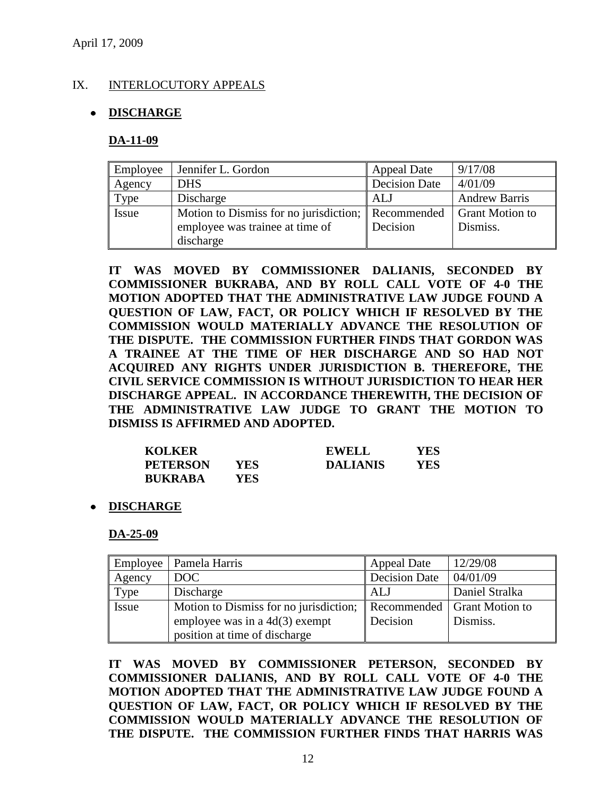### IX. INTERLOCUTORY APPEALS

### **DISCHARGE**

#### **DA-11-09**

| Employee | Jennifer L. Gordon                                 | Appeal Date   | 9/17/08                |
|----------|----------------------------------------------------|---------------|------------------------|
| Agency   | <b>DHS</b>                                         | Decision Date | 4/01/09                |
| Type     | Discharge                                          | ALJ           | <b>Andrew Barris</b>   |
| Issue    | Motion to Dismiss for no jurisdiction; Recommended |               | <b>Grant Motion to</b> |
|          | employee was trainee at time of                    | Decision      | Dismiss.               |
|          | discharge                                          |               |                        |

**IT WAS MOVED BY COMMISSIONER DALIANIS, SECONDED BY COMMISSIONER BUKRABA, AND BY ROLL CALL VOTE OF 4-0 THE MOTION ADOPTED THAT THE ADMINISTRATIVE LAW JUDGE FOUND A QUESTION OF LAW, FACT, OR POLICY WHICH IF RESOLVED BY THE COMMISSION WOULD MATERIALLY ADVANCE THE RESOLUTION OF THE DISPUTE. THE COMMISSION FURTHER FINDS THAT GORDON WAS A TRAINEE AT THE TIME OF HER DISCHARGE AND SO HAD NOT ACQUIRED ANY RIGHTS UNDER JURISDICTION B. THEREFORE, THE CIVIL SERVICE COMMISSION IS WITHOUT JURISDICTION TO HEAR HER DISCHARGE APPEAL. IN ACCORDANCE THEREWITH, THE DECISION OF THE ADMINISTRATIVE LAW JUDGE TO GRANT THE MOTION TO DISMISS IS AFFIRMED AND ADOPTED.** 

| <b>KOLKER</b>   |      | <b>EWELL</b>    | YES |
|-----------------|------|-----------------|-----|
| <b>PETERSON</b> | YES  | <b>DALIANIS</b> | YES |
| <b>BUKRABA</b>  | YES. |                 |     |

**DISCHARGE**

#### **DA-25-09**

|        | Employee   Pamela Harris               | <b>Appeal Date</b>   | 12/29/08                      |
|--------|----------------------------------------|----------------------|-------------------------------|
| Agency | <b>DOC</b>                             | <b>Decision Date</b> | 04/01/09                      |
| Type   | Discharge                              | ALJ                  | Daniel Stralka                |
| Issue  | Motion to Dismiss for no jurisdiction; |                      | Recommended   Grant Motion to |
|        | employee was in a $4d(3)$ exempt       | Decision             | Dismiss.                      |
|        | position at time of discharge          |                      |                               |

**IT WAS MOVED BY COMMISSIONER PETERSON, SECONDED BY COMMISSIONER DALIANIS, AND BY ROLL CALL VOTE OF 4-0 THE MOTION ADOPTED THAT THE ADMINISTRATIVE LAW JUDGE FOUND A QUESTION OF LAW, FACT, OR POLICY WHICH IF RESOLVED BY THE COMMISSION WOULD MATERIALLY ADVANCE THE RESOLUTION OF THE DISPUTE. THE COMMISSION FURTHER FINDS THAT HARRIS WAS**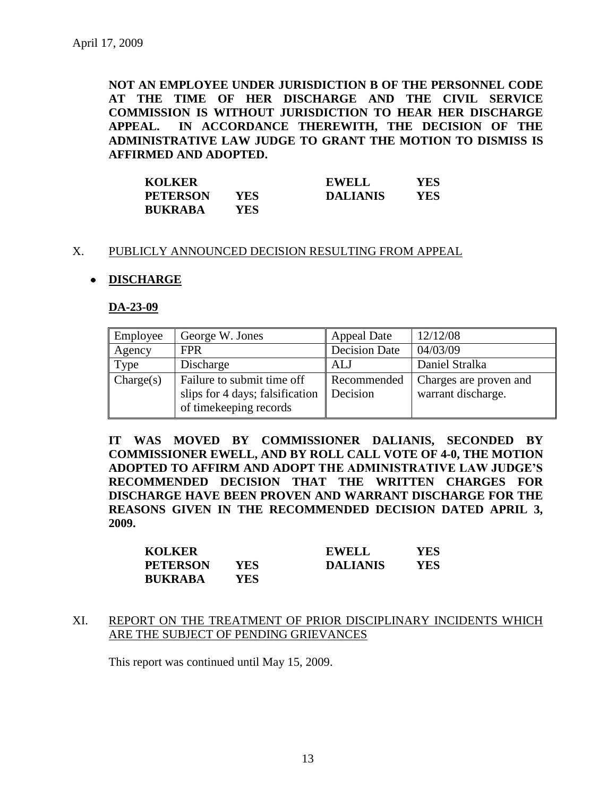**NOT AN EMPLOYEE UNDER JURISDICTION B OF THE PERSONNEL CODE AT THE TIME OF HER DISCHARGE AND THE CIVIL SERVICE COMMISSION IS WITHOUT JURISDICTION TO HEAR HER DISCHARGE APPEAL. IN ACCORDANCE THEREWITH, THE DECISION OF THE ADMINISTRATIVE LAW JUDGE TO GRANT THE MOTION TO DISMISS IS AFFIRMED AND ADOPTED.** 

| <b>KOLKER</b>   |      | <b>EWELL</b>    | YES |
|-----------------|------|-----------------|-----|
| <b>PETERSON</b> | YES. | <b>DALIANIS</b> | YES |
| <b>BUKRABA</b>  | YES. |                 |     |

#### X. PUBLICLY ANNOUNCED DECISION RESULTING FROM APPEAL

#### **DISCHARGE**

#### **DA-23-09**

| Employee  | George W. Jones                                                                         | <b>Appeal Date</b>      | 12/12/08                                     |
|-----------|-----------------------------------------------------------------------------------------|-------------------------|----------------------------------------------|
| Agency    | <b>FPR</b>                                                                              | <b>Decision Date</b>    | 04/03/09                                     |
| Type      | Discharge                                                                               | ALJ                     | Daniel Stralka                               |
| Change(s) | Failure to submit time off<br>slips for 4 days; falsification<br>of timekeeping records | Recommended<br>Decision | Charges are proven and<br>warrant discharge. |

**IT WAS MOVED BY COMMISSIONER DALIANIS, SECONDED BY COMMISSIONER EWELL, AND BY ROLL CALL VOTE OF 4-0, THE MOTION ADOPTED TO AFFIRM AND ADOPT THE ADMINISTRATIVE LAW JUDGE'S RECOMMENDED DECISION THAT THE WRITTEN CHARGES FOR DISCHARGE HAVE BEEN PROVEN AND WARRANT DISCHARGE FOR THE REASONS GIVEN IN THE RECOMMENDED DECISION DATED APRIL 3, 2009.**

| <b>KOLKER</b>   |      | <b>EWELL</b>    | YES |
|-----------------|------|-----------------|-----|
| <b>PETERSON</b> | YES. | <b>DALIANIS</b> | YES |
| <b>BUKRABA</b>  | YES. |                 |     |

#### XI. REPORT ON THE TREATMENT OF PRIOR DISCIPLINARY INCIDENTS WHICH ARE THE SUBJECT OF PENDING GRIEVANCES

This report was continued until May 15, 2009.